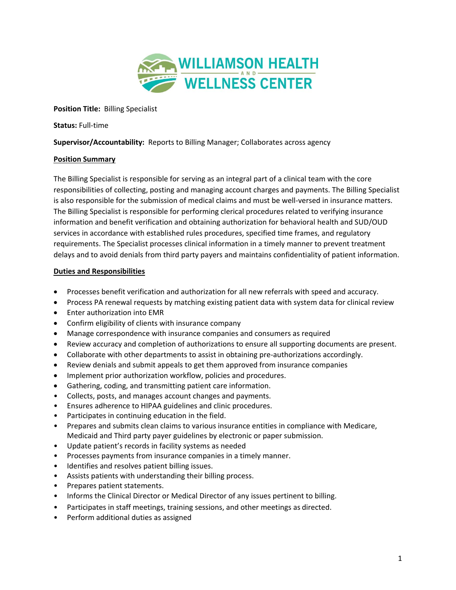

**Position Title:** Billing Specialist

**Status:** Full-time

**Supervisor/Accountability:** Reports to Billing Manager; Collaborates across agency

## **Position Summary**

The Billing Specialist is responsible for serving as an integral part of a clinical team with the core responsibilities of collecting, posting and managing account charges and payments. The Billing Specialist is also responsible for the submission of medical claims and must be well-versed in insurance matters. The Billing Specialist is responsible for performing clerical procedures related to verifying insurance information and benefit verification and obtaining authorization for behavioral health and SUD/OUD services in accordance with established rules procedures, specified time frames, and regulatory requirements. The Specialist processes clinical information in a timely manner to prevent treatment delays and to avoid denials from third party payers and maintains confidentiality of patient information.

## **Duties and Responsibilities**

- Processes benefit verification and authorization for all new referrals with speed and accuracy.
- Process PA renewal requests by matching existing patient data with system data for clinical review
- Enter authorization into EMR
- Confirm eligibility of clients with insurance company
- Manage correspondence with insurance companies and consumers as required
- Review accuracy and completion of authorizations to ensure all supporting documents are present.
- Collaborate with other departments to assist in obtaining pre-authorizations accordingly.
- Review denials and submit appeals to get them approved from insurance companies
- Implement prior authorization workflow, policies and procedures.
- Gathering, coding, and transmitting patient care information.
- Collects, posts, and manages account changes and payments.
- Ensures adherence to HIPAA guidelines and clinic procedures.
- Participates in continuing education in the field.
- Prepares and submits clean claims to various insurance entities in compliance with Medicare, Medicaid and Third party payer guidelines by electronic or paper submission.
- Update patient's records in facility systems as needed
- Processes payments from insurance companies in a timely manner.
- Identifies and resolves patient billing issues.
- Assists patients with understanding their billing process.
- Prepares patient statements.
- Informs the Clinical Director or Medical Director of any issues pertinent to billing.
- Participates in staff meetings, training sessions, and other meetings as directed.
- Perform additional duties as assigned